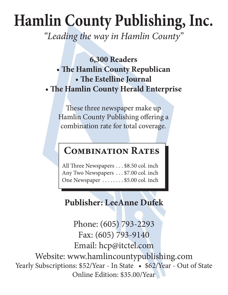# **Hamlin County Publishing, Inc.**

*"Leading the way in Hamlin County"*

**6,300 Readers • The Hamlin County Republican • The Estelline Journal • The Hamlin County Herald Enterprise**

These three newspaper make up Hamlin County Publishing offering a combination rate for total coverage.

## **Combination Rates**

All Three Newspapers . . . \$8.50 col. inch Any Two Newspapers . . . \$7.00 col. inch One Newspaper .......\$5.00 col. inch

## **Publisher: LeeAnne Dufek**

Phone: (605) 793-2293 Fax: (605) 793-9140 Email: hcp@itctel.com Website: www.hamlincountypublishing.com Yearly Subscriptions: \$52/Year - In State • \$62/Year - Out of State Online Edition: \$35.00/Year